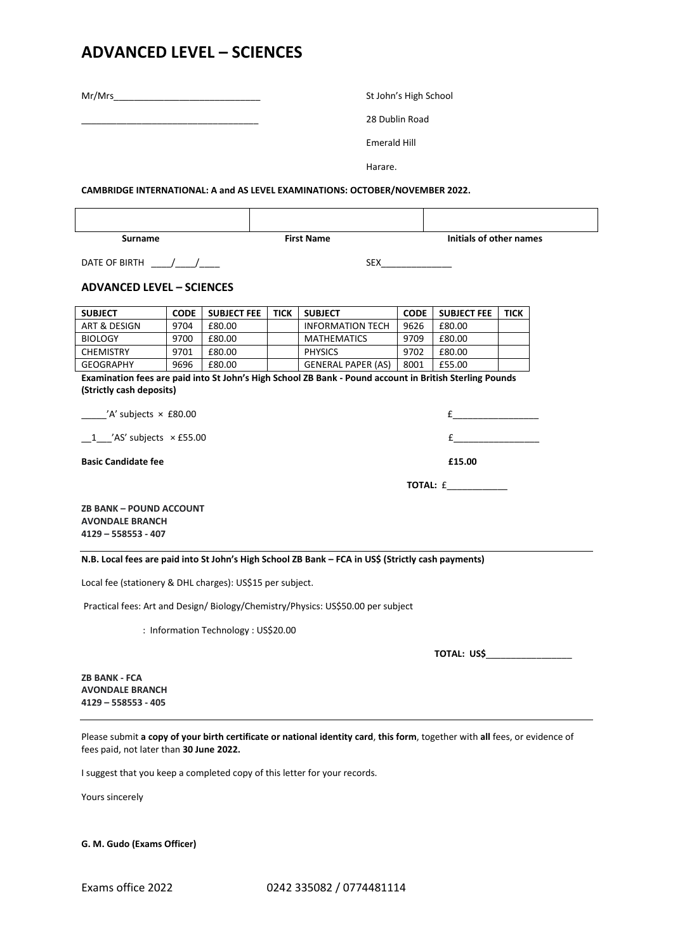## **ADVANCED LEVEL – SCIENCES**

| Mr/Mrs and the contract of the contract of the contract of the contract of the contract of the contract of the |             |                                      | St John's High School |                                                                                                                           |             |                            |      |  |
|----------------------------------------------------------------------------------------------------------------|-------------|--------------------------------------|-----------------------|---------------------------------------------------------------------------------------------------------------------------|-------------|----------------------------|------|--|
|                                                                                                                |             |                                      | 28 Dublin Road        |                                                                                                                           |             |                            |      |  |
|                                                                                                                |             |                                      | <b>Emerald Hill</b>   |                                                                                                                           |             |                            |      |  |
|                                                                                                                |             |                                      | Harare.               |                                                                                                                           |             |                            |      |  |
|                                                                                                                |             |                                      |                       | CAMBRIDGE INTERNATIONAL: A and AS LEVEL EXAMINATIONS: OCTOBER/NOVEMBER 2022.                                              |             |                            |      |  |
|                                                                                                                |             |                                      |                       |                                                                                                                           |             |                            |      |  |
| <b>Surname</b>                                                                                                 |             |                                      | <b>First Name</b>     |                                                                                                                           |             | Initials of other names    |      |  |
|                                                                                                                |             |                                      |                       |                                                                                                                           |             |                            |      |  |
| DATE OF BIRTH $\frac{1}{\sqrt{1-\frac{1}{2}}}$                                                                 |             |                                      |                       |                                                                                                                           |             |                            |      |  |
| <b>ADVANCED LEVEL - SCIENCES</b>                                                                               |             |                                      |                       |                                                                                                                           |             |                            |      |  |
|                                                                                                                |             |                                      |                       |                                                                                                                           |             |                            |      |  |
| <b>SUBJECT</b>                                                                                                 | <b>CODE</b> | <b>SUBJECT FEE</b>                   | <b>TICK</b>           | <b>SUBJECT</b>                                                                                                            | <b>CODE</b> | <b>SUBJECT FEE</b>         | TICK |  |
| ART & DESIGN                                                                                                   | 9704        | £80.00                               |                       | <b>INFORMATION TECH</b>                                                                                                   | 9626        | £80.00                     |      |  |
| <b>BIOLOGY</b>                                                                                                 | 9700        | £80.00                               |                       | <b>MATHEMATICS</b>                                                                                                        | 9709        | £80.00                     |      |  |
| CHEMISTRY                                                                                                      | 9701        | £80.00                               |                       | <b>PHYSICS</b>                                                                                                            | 9702        | £80.00                     |      |  |
| <b>GEOGRAPHY</b>                                                                                               | 9696        | £80.00                               |                       | GENERAL PAPER (AS)                                                                                                        | 8001        | £55.00                     |      |  |
|                                                                                                                |             |                                      |                       | Examination fees are paid into St John's High School ZB Bank - Pound account in British Sterling Pounds                   |             |                            |      |  |
| (Strictly cash deposits)                                                                                       |             |                                      |                       |                                                                                                                           |             |                            |      |  |
| $'A'$ subjects $\times$ £80.00                                                                                 |             |                                      |                       |                                                                                                                           |             |                            |      |  |
| $1$ /AS' subjects $\times$ £55.00                                                                              |             |                                      |                       |                                                                                                                           |             |                            |      |  |
| <b>Basic Candidate fee</b>                                                                                     |             |                                      | £15.00                |                                                                                                                           |             |                            |      |  |
|                                                                                                                |             |                                      |                       |                                                                                                                           |             | <b>TOTAL: £___________</b> |      |  |
|                                                                                                                |             |                                      |                       |                                                                                                                           |             |                            |      |  |
| <b>ZB BANK - POUND ACCOUNT</b><br><b>AVONDALE BRANCH</b>                                                       |             |                                      |                       |                                                                                                                           |             |                            |      |  |
| 4129 - 558553 - 407                                                                                            |             |                                      |                       |                                                                                                                           |             |                            |      |  |
|                                                                                                                |             |                                      |                       |                                                                                                                           |             |                            |      |  |
|                                                                                                                |             |                                      |                       | N.B. Local fees are paid into St John's High School ZB Bank - FCA in US\$ (Strictly cash payments)                        |             |                            |      |  |
| Local fee (stationery & DHL charges): US\$15 per subject.                                                      |             |                                      |                       |                                                                                                                           |             |                            |      |  |
|                                                                                                                |             |                                      |                       | Practical fees: Art and Design/ Biology/Chemistry/Physics: US\$50.00 per subject                                          |             |                            |      |  |
|                                                                                                                |             | : Information Technology : US\$20.00 |                       |                                                                                                                           |             |                            |      |  |
|                                                                                                                |             |                                      |                       |                                                                                                                           |             |                            |      |  |
|                                                                                                                |             |                                      |                       |                                                                                                                           |             |                            |      |  |
| <b>ZB BANK - FCA</b><br><b>AVONDALE BRANCH</b><br>$4129 - 558553 - 405$                                        |             |                                      |                       |                                                                                                                           |             |                            |      |  |
|                                                                                                                |             |                                      |                       |                                                                                                                           |             |                            |      |  |
|                                                                                                                |             |                                      |                       | Desce submit a conv of your birth certificate or national identity card, this form together with all fees, or evidence of |             |                            |      |  |

Please submit **a copy of your birth certificate or national identity card**, **this form**, together with **all** fees, or evidence of fees paid, not later than **30 June 2022.**

I suggest that you keep a completed copy of this letter for your records.

Yours sincerely

**G. M. Gudo (Exams Officer)**